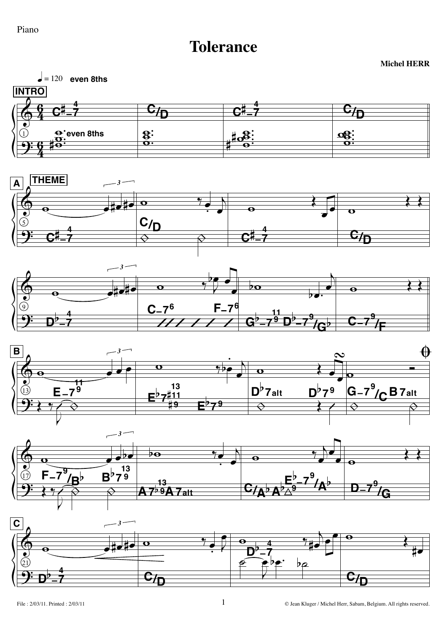## Piano

## **Tolerance**

 $\vert \bullet \vert = 120$  even 8ths **INTRO**  $\overline{c}_{\overline{D}}$  $\overline{\mathbf{c}_{\mathcal{I}_{\mathbf{D}}}}$ ≃¤  $\mathsf{C}^{\sharp}$  $\mathbf{\Theta}$ 'even 8ths  $\frac{8}{5}$  $\frac{26}{10}$ 











**Michel HERR**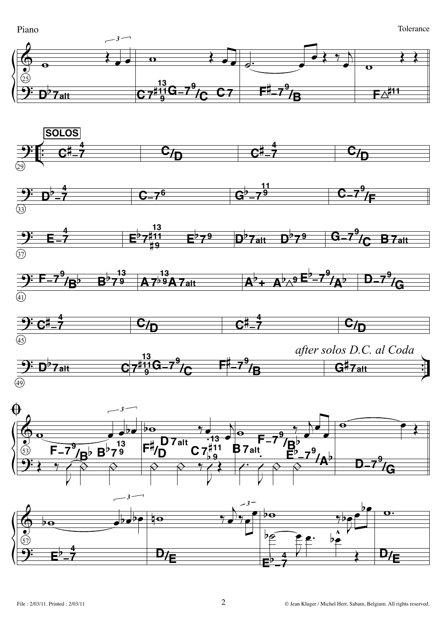Piano